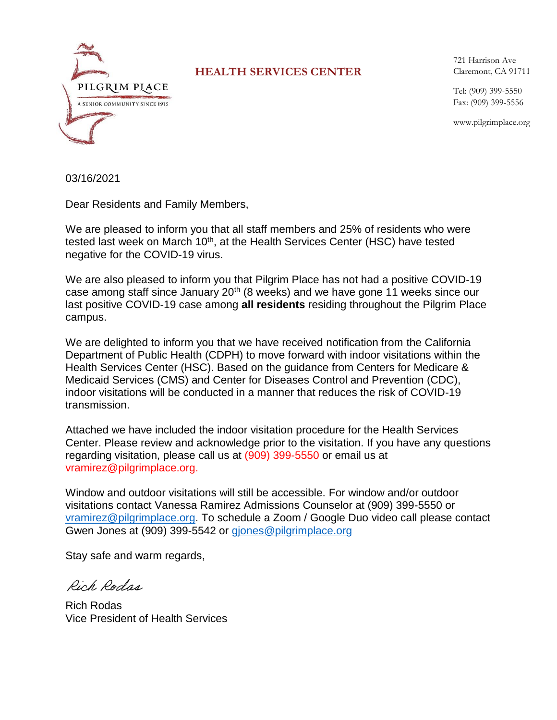

## **HEALTH SERVICES CENTER**

721 Harrison Ave Claremont, CA 91711

Tel: (909) 399-5550 Fax: (909) 399-5556

www.pilgrimplace.org

03/16/2021

Dear Residents and Family Members,

We are pleased to inform you that all staff members and 25% of residents who were tested last week on March 10<sup>th</sup>, at the Health Services Center (HSC) have tested negative for the COVID-19 virus.

We are also pleased to inform you that Pilgrim Place has not had a positive COVID-19 case among staff since January 20<sup>th</sup> (8 weeks) and we have gone 11 weeks since our last positive COVID-19 case among **all residents** residing throughout the Pilgrim Place campus.

We are delighted to inform you that we have received notification from the California Department of Public Health (CDPH) to move forward with indoor visitations within the Health Services Center (HSC). Based on the guidance from Centers for Medicare & Medicaid Services (CMS) and Center for Diseases Control and Prevention (CDC), indoor visitations will be conducted in a manner that reduces the risk of COVID-19 transmission.

Attached we have included the indoor visitation procedure for the Health Services Center. Please review and acknowledge prior to the visitation. If you have any questions regarding visitation, please call us at (909) 399-5550 or email us at vramirez@pilgrimplace.org.

Window and outdoor visitations will still be accessible. For window and/or outdoor visitations contact Vanessa Ramirez Admissions Counselor at (909) 399-5550 or [vramirez@pilgrimplace.org.](mailto:vramirez@pilgrimplace.org) To schedule a Zoom / Google Duo video call please contact Gwen Jones at (909) 399-5542 or [gjones@pilgrimplace.org](mailto:gjones@pilgrimplace.org)

Stay safe and warm regards,

Rich Rodga

Rich Rodas Vice President of Health Services